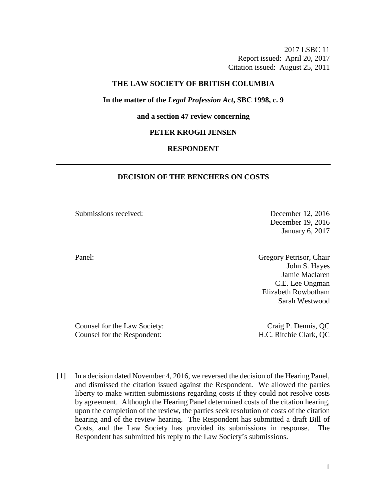2017 LSBC 11 Report issued: April 20, 2017 Citation issued: August 25, 2011

## **THE LAW SOCIETY OF BRITISH COLUMBIA**

# **In the matter of the** *Legal Profession Act***, SBC 1998, c. 9**

### **and a section 47 review concerning**

#### **PETER KROGH JENSEN**

# **RESPONDENT**

# **DECISION OF THE BENCHERS ON COSTS**

Submissions received: December 12, 2016

December 19, 2016 January 6, 2017

Panel: Gregory Petrisor, Chair John S. Hayes Jamie Maclaren C.E. Lee Ongman Elizabeth Rowbotham Sarah Westwood

Counsel for the Law Society: Craig P. Dennis, QC Counsel for the Respondent: H.C. Ritchie Clark, QC

[1] In a decision dated November 4, 2016, we reversed the decision of the Hearing Panel, and dismissed the citation issued against the Respondent. We allowed the parties liberty to make written submissions regarding costs if they could not resolve costs by agreement. Although the Hearing Panel determined costs of the citation hearing, upon the completion of the review, the parties seek resolution of costs of the citation hearing and of the review hearing. The Respondent has submitted a draft Bill of Costs, and the Law Society has provided its submissions in response. The Respondent has submitted his reply to the Law Society's submissions.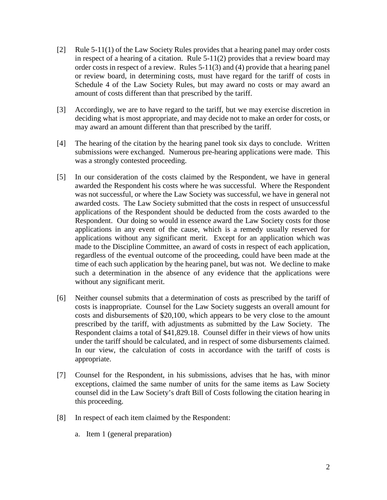- [2] Rule 5-11(1) of the Law Society Rules provides that a hearing panel may order costs in respect of a hearing of a citation. Rule 5-11(2) provides that a review board may order costs in respect of a review. Rules 5-11(3) and (4) provide that a hearing panel or review board, in determining costs, must have regard for the tariff of costs in Schedule 4 of the Law Society Rules, but may award no costs or may award an amount of costs different than that prescribed by the tariff.
- [3] Accordingly, we are to have regard to the tariff, but we may exercise discretion in deciding what is most appropriate, and may decide not to make an order for costs, or may award an amount different than that prescribed by the tariff.
- [4] The hearing of the citation by the hearing panel took six days to conclude. Written submissions were exchanged. Numerous pre-hearing applications were made. This was a strongly contested proceeding.
- [5] In our consideration of the costs claimed by the Respondent, we have in general awarded the Respondent his costs where he was successful. Where the Respondent was not successful, or where the Law Society was successful, we have in general not awarded costs. The Law Society submitted that the costs in respect of unsuccessful applications of the Respondent should be deducted from the costs awarded to the Respondent. Our doing so would in essence award the Law Society costs for those applications in any event of the cause, which is a remedy usually reserved for applications without any significant merit. Except for an application which was made to the Discipline Committee, an award of costs in respect of each application, regardless of the eventual outcome of the proceeding, could have been made at the time of each such application by the hearing panel, but was not. We decline to make such a determination in the absence of any evidence that the applications were without any significant merit.
- [6] Neither counsel submits that a determination of costs as prescribed by the tariff of costs is inappropriate. Counsel for the Law Society suggests an overall amount for costs and disbursements of \$20,100, which appears to be very close to the amount prescribed by the tariff, with adjustments as submitted by the Law Society. The Respondent claims a total of \$41,829.18. Counsel differ in their views of how units under the tariff should be calculated, and in respect of some disbursements claimed. In our view, the calculation of costs in accordance with the tariff of costs is appropriate.
- [7] Counsel for the Respondent, in his submissions, advises that he has, with minor exceptions, claimed the same number of units for the same items as Law Society counsel did in the Law Society's draft Bill of Costs following the citation hearing in this proceeding.
- [8] In respect of each item claimed by the Respondent:
	- a. Item 1 (general preparation)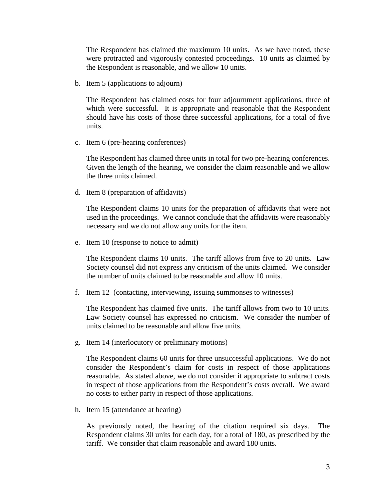The Respondent has claimed the maximum 10 units. As we have noted, these were protracted and vigorously contested proceedings. 10 units as claimed by the Respondent is reasonable, and we allow 10 units.

b. Item 5 (applications to adjourn)

The Respondent has claimed costs for four adjournment applications, three of which were successful. It is appropriate and reasonable that the Respondent should have his costs of those three successful applications, for a total of five units.

c. Item 6 (pre-hearing conferences)

The Respondent has claimed three units in total for two pre-hearing conferences. Given the length of the hearing, we consider the claim reasonable and we allow the three units claimed.

d. Item 8 (preparation of affidavits)

The Respondent claims 10 units for the preparation of affidavits that were not used in the proceedings. We cannot conclude that the affidavits were reasonably necessary and we do not allow any units for the item.

e. Item 10 (response to notice to admit)

The Respondent claims 10 units. The tariff allows from five to 20 units. Law Society counsel did not express any criticism of the units claimed. We consider the number of units claimed to be reasonable and allow 10 units.

f. Item 12 (contacting, interviewing, issuing summonses to witnesses)

The Respondent has claimed five units. The tariff allows from two to 10 units. Law Society counsel has expressed no criticism. We consider the number of units claimed to be reasonable and allow five units.

g. Item 14 (interlocutory or preliminary motions)

The Respondent claims 60 units for three unsuccessful applications. We do not consider the Respondent's claim for costs in respect of those applications reasonable. As stated above, we do not consider it appropriate to subtract costs in respect of those applications from the Respondent's costs overall. We award no costs to either party in respect of those applications.

h. Item 15 (attendance at hearing)

As previously noted, the hearing of the citation required six days. The Respondent claims 30 units for each day, for a total of 180, as prescribed by the tariff. We consider that claim reasonable and award 180 units.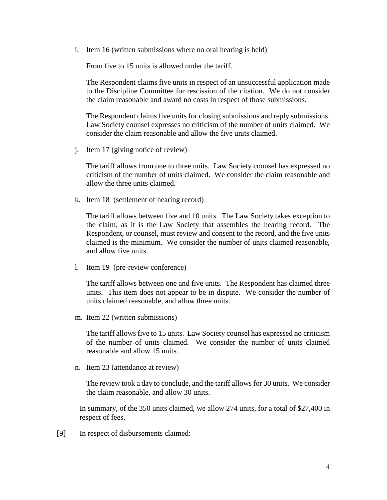i. Item 16 (written submissions where no oral hearing is held)

From five to 15 units is allowed under the tariff.

The Respondent claims five units in respect of an unsuccessful application made to the Discipline Committee for rescission of the citation. We do not consider the claim reasonable and award no costs in respect of those submissions.

The Respondent claims five units for closing submissions and reply submissions. Law Society counsel expresses no criticism of the number of units claimed. We consider the claim reasonable and allow the five units claimed.

j. Item 17 (giving notice of review)

The tariff allows from one to three units. Law Society counsel has expressed no criticism of the number of units claimed. We consider the claim reasonable and allow the three units claimed.

k. Item 18 (settlement of hearing record)

The tariff allows between five and 10 units. The Law Society takes exception to the claim, as it is the Law Society that assembles the hearing record. The Respondent, or counsel, must review and consent to the record, and the five units claimed is the minimum. We consider the number of units claimed reasonable, and allow five units.

l. Item 19 (pre-review conference)

The tariff allows between one and five units. The Respondent has claimed three units. This item does not appear to be in dispute. We consider the number of units claimed reasonable, and allow three units.

m. Item 22 (written submissions)

The tariff allows five to 15 units. Law Society counsel has expressed no criticism of the number of units claimed. We consider the number of units claimed reasonable and allow 15 units.

n. Item 23 (attendance at review)

The review took a day to conclude, and the tariff allows for 30 units. We consider the claim reasonable, and allow 30 units.

In summary, of the 350 units claimed, we allow 274 units, for a total of \$27,400 in respect of fees.

[9] In respect of disbursements claimed: